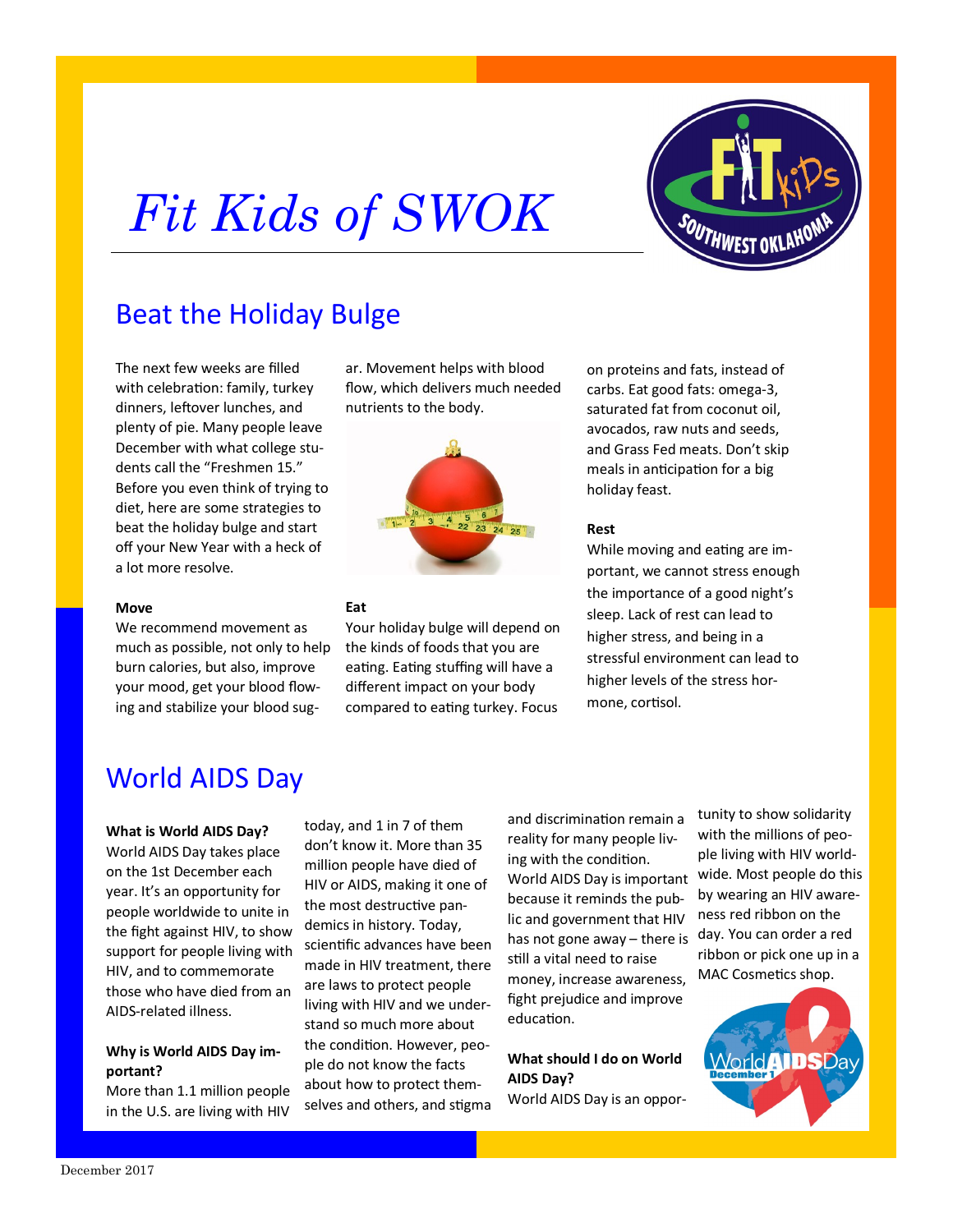# *Fit Kids of SWOK*



# Beat the Holiday Bulge

The next few weeks are filled with celebration: family, turkey dinners, leftover lunches, and plenty of pie. Many people leave December with what college students call the "Freshmen 15." Before you even think of trying to diet, here are some strategies to beat the holiday bulge and start off your New Year with a heck of a lot more resolve.

#### **Move**

We recommend movement as much as possible, not only to help burn calories, but also, improve your mood, get your blood flowing and stabilize your blood sugar. Movement helps with blood flow, which delivers much needed nutrients to the body.



### **Eat**

Your holiday bulge will depend on the kinds of foods that you are eating. Eating stuffing will have a different impact on your body compared to eating turkey. Focus

on proteins and fats, instead of carbs. Eat good fats: omega-3, saturated fat from coconut oil, avocados, raw nuts and seeds, and Grass Fed meats. Don't skip meals in anticipation for a big holiday feast.

### **Rest**

While moving and eating are important, we cannot stress enough the importance of a good night's sleep. Lack of rest can lead to higher stress, and being in a stressful environment can lead to higher levels of the stress hormone, cortisol.

# World AIDS Day

#### **What is World AIDS Day?**

World AIDS Day takes place on the 1st December each year. It's an opportunity for people worldwide to unite in the fight against HIV, to show support for people living with HIV, and to commemorate those who have died from an AIDS-related illness.

## **Why is World AIDS Day important?**

More than 1.1 million people in the U.S. are living with HIV

today, and 1 in 7 of them don't know it. More than 35 million people have died of HIV or AIDS, making it one of the most destructive pandemics in history. Today, scientific advances have been made in HIV treatment, there are laws to protect people living with HIV and we understand so much more about the condition. However, people do not know the facts about how to protect themselves and others, and stigma

and discrimination remain a reality for many people living with the condition. World AIDS Day is important because it reminds the public and government that HIV has not gone away – there is still a vital need to raise money, increase awareness, fight prejudice and improve education.

**What should I do on World AIDS Day?**

World AIDS Day is an oppor-

tunity to show solidarity with the millions of people living with HIV worldwide. Most people do this by wearing an HIV awareness red ribbon on the day. You can order a red ribbon or pick one up in a MAC Cosmetics shop.